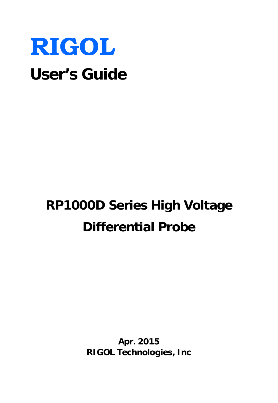

# **RP1000D Series High Voltage Differential Probe**

**Apr. 2015 RIGOL Technologies, Inc**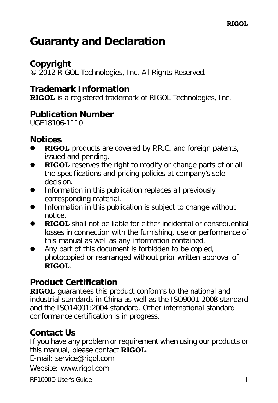### <span id="page-2-0"></span>**Guaranty and Declaration**

**Copyright** © 2012 RIGOL Technologies, Inc. All Rights Reserved.

**Trademark Information**

**RIGOL** is a registered trademark of RIGOL Technologies, Inc.

**Publication Number** UGE18106-1110

**Notices**

- **RIGOL** products are covered by P.R.C. and foreign patents, issued and pending.
- **RIGOL** reserves the right to modify or change parts of or all the specifications and pricing policies at company's sole decision.
- Information in this publication replaces all previously corresponding material.
- Information in this publication is subject to change without notice.
- **RIGOL** shall not be liable for either incidental or consequential losses in connection with the furnishing, use or performance of this manual as well as any information contained.
- Any part of this document is forbidden to be copied, photocopied or rearranged without prior written approval of **RIGOL**.

### **Product Certification**

**RIGOL** guarantees this product conforms to the national and industrial standards in China as well as the ISO9001:2008 standard and the ISO14001:2004 standard. Other international standard conformance certification is in progress.

### **Contact Us**

If you have any problem or requirement when using our products or this manual, please contact **RIGOL**.

E-mail: service@rigol.com

Website: [www.rigol.com](http://www.rigol.com/)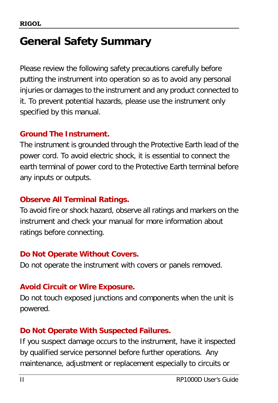## <span id="page-3-0"></span>**General Safety Summary**

Please review the following safety precautions carefully before putting the instrument into operation so as to avoid any personal injuries or damages to the instrument and any product connected to it. To prevent potential hazards, please use the instrument only specified by this manual.

### **Ground The Instrument.**

The instrument is grounded through the Protective Earth lead of the power cord. To avoid electric shock, it is essential to connect the earth terminal of power cord to the Protective Earth terminal before any inputs or outputs.

### **Observe All Terminal Ratings.**

To avoid fire or shock hazard, observe all ratings and markers on the instrument and check your manual for more information about ratings before connecting.

### **Do Not Operate Without Covers.**

Do not operate the instrument with covers or panels removed.

### **Avoid Circuit or Wire Exposure.**

Do not touch exposed junctions and components when the unit is powered.

### **Do Not Operate With Suspected Failures.**

If you suspect damage occurs to the instrument, have it inspected by qualified service personnel before further operations. Any maintenance, adjustment or replacement especially to circuits or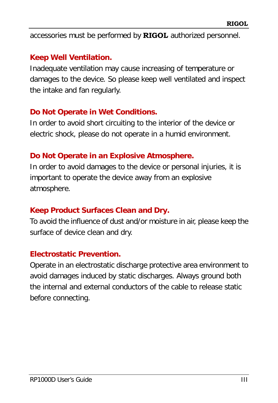accessories must be performed by **RIGOL** authorized personnel.

### **Keep Well Ventilation.**

Inadequate ventilation may cause increasing of temperature or damages to the device. So please keep well ventilated and inspect the intake and fan regularly.

### **Do Not Operate in Wet Conditions.**

In order to avoid short circuiting to the interior of the device or electric shock, please do not operate in a humid environment.

### **Do Not Operate in an Explosive Atmosphere.**

In order to avoid damages to the device or personal injuries, it is important to operate the device away from an explosive atmosphere.

### **Keep Product Surfaces Clean and Dry.**

To avoid the influence of dust and/or moisture in air, please keep the surface of device clean and dry.

#### **Electrostatic Prevention.**

Operate in an electrostatic discharge protective area environment to avoid damages induced by static discharges. Always ground both the internal and external conductors of the cable to release static before connecting.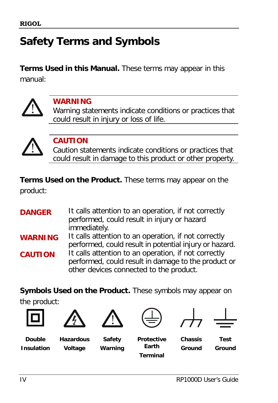# <span id="page-5-0"></span>**Safety Terms and Symbols**

**Terms Used in this Manual.** These terms may appear in this manual:



### **WARNING**

Warning statements indicate conditions or practices that could result in injury or loss of life.



### **CAUTION**

Caution statements indicate conditions or practices that could result in damage to this product or other property.

**Terms Used on the Product.** These terms may appear on the product:

**DANGER** It calls attention to an operation, if not correctly performed, could result in injury or hazard immediately. **WARNING** It calls attention to an operation, if not correctly performed, could result in potential injury or hazard. **CAUTION** It calls attention to an operation, if not correctly performed, could result in damage to the product or other devices connected to the product.

**Symbols Used on the Product.** These symbols may appear on the product:







**Double Insulation**

**Hazardous Voltage**

**Safety**







**Warning**

**Protective Earth Terminal**

**Chassis Ground**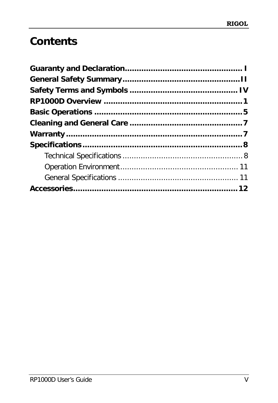# Contents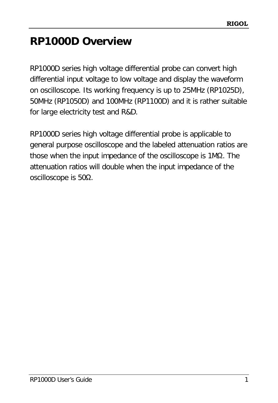# <span id="page-8-0"></span>**RP1000D Overview**

RP1000D series high voltage differential probe can convert high differential input voltage to low voltage and display the waveform on oscilloscope. Its working frequency is up to 25MHz (RP1025D), 50MHz (RP1050D) and 100MHz (RP1100D) and it is rather suitable for large electricity test and R&D.

RP1000D series high voltage differential probe is applicable to general purpose oscilloscope and the labeled attenuation ratios are those when the input impedance of the oscilloscope is 1MΩ. The attenuation ratios will double when the input impedance of the oscilloscope is 50Ω.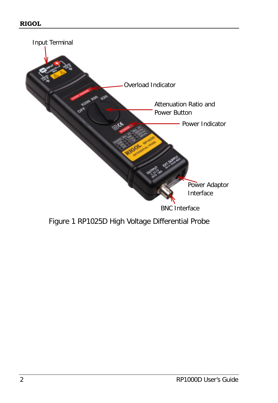

Figure 1 RP1025D High Voltage Differential Probe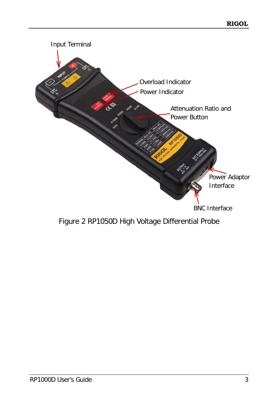

Figure 2 RP1050D High Voltage Differential Probe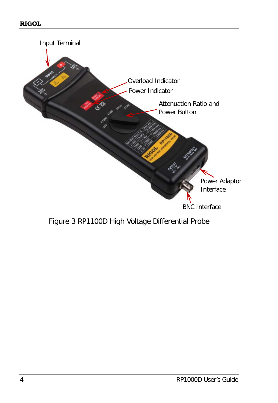

Figure 3 RP1100D High Voltage Differential Probe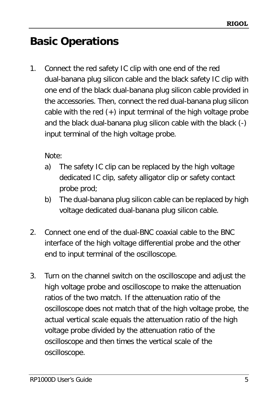## <span id="page-12-0"></span>**Basic Operations**

1. Connect the red safety IC clip with one end of the red dual-banana plug silicon cable and the black safety IC clip with one end of the black dual-banana plug silicon cable provided in the accessories. Then, connect the red dual-banana plug silicon cable with the red  $(+)$  input terminal of the high voltage probe and the black dual-banana plug silicon cable with the black (-) input terminal of the high voltage probe.

Note:

- a) The safety IC clip can be replaced by the high voltage dedicated IC clip, safety alligator clip or safety contact probe prod;
- b) The dual-banana plug silicon cable can be replaced by high voltage dedicated dual-banana plug silicon cable.
- 2. Connect one end of the dual-BNC coaxial cable to the BNC interface of the high voltage differential probe and the other end to input terminal of the oscilloscope.
- 3. Turn on the channel switch on the oscilloscope and adjust the high voltage probe and oscilloscope to make the attenuation ratios of the two match. If the attenuation ratio of the oscilloscope does not match that of the high voltage probe, the actual vertical scale equals the attenuation ratio of the high voltage probe divided by the attenuation ratio of the oscilloscope and then times the vertical scale of the oscilloscope.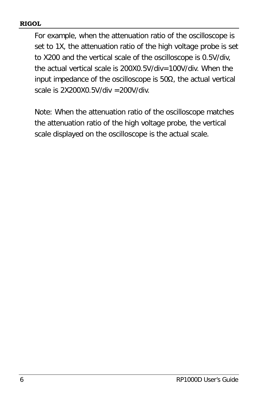#### **RIGOL**

For example, when the attenuation ratio of the oscilloscope is set to 1X, the attenuation ratio of the high voltage probe is set to X200 and the vertical scale of the oscilloscope is 0.5V/div, the actual vertical scale is 200X0.5V/div=100V/div. When the input impedance of the oscilloscope is  $50\Omega$ , the actual vertical scale is 2X200X0.5V/div =200V/div.

Note: When the attenuation ratio of the oscilloscope matches the attenuation ratio of the high voltage probe, the vertical scale displayed on the oscilloscope is the actual scale.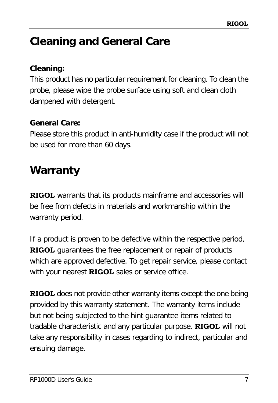# <span id="page-14-0"></span>**Cleaning and General Care**

### **Cleaning:**

This product has no particular requirement for cleaning. To clean the probe, please wipe the probe surface using soft and clean cloth dampened with detergent.

**General Care:**

Please store this product in anti-humidity case if the product will not be used for more than 60 days.

### <span id="page-14-1"></span>**Warranty**

**RIGOL** warrants that its products mainframe and accessories will be free from defects in materials and workmanship within the warranty period.

If a product is proven to be defective within the respective period, **RIGOL** guarantees the free replacement or repair of products which are approved defective. To get repair service, please contact with your nearest **RIGOL** sales or service office.

**RIGOL** does not provide other warranty items except the one being provided by this warranty statement. The warranty items include but not being subjected to the hint guarantee items related to tradable characteristic and any particular purpose. **RIGOL** will not take any responsibility in cases regarding to indirect, particular and ensuing damage.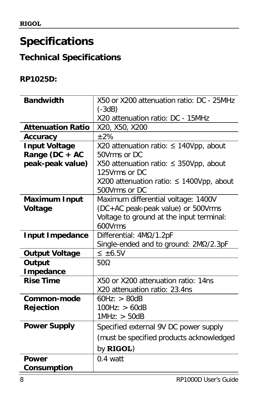## <span id="page-15-0"></span>**Specifications**

### <span id="page-15-1"></span>**Technical Specifications**

### **RP1025D:**

| Bandwidth                | X50 or X200 attenuation ratio: DC - 25MHz<br>$(-3dB)$          |  |
|--------------------------|----------------------------------------------------------------|--|
|                          | X20 attenuation ratio: DC - 15MHz                              |  |
| <b>Attenuation Ratio</b> | X20, X50, X200                                                 |  |
| Accuracy                 | $+2%$                                                          |  |
| Input Voltage            | X20 attenuation ratio: $\leq$ 140Vpp, about                    |  |
| Range (DC + AC           | 50Vrms or DC                                                   |  |
| peak-peak value)         | X50 attenuation ratio: $\leq$ 350Vpp, about<br>125Vrms or DC   |  |
|                          | X200 attenuation ratio: $\leq$ 1400Vpp, about<br>500Vrms or DC |  |
| Maximum Input            | Maximum differential voltage: 1400V                            |  |
| Voltage                  | (DC+AC peak-peak value) or 500Vrms                             |  |
|                          | Voltage to ground at the input terminal:                       |  |
|                          | 600Vrms                                                        |  |
| Input Impedance          | Differential: 4ΜΩ/1.2pF                                        |  |
|                          | Single-ended and to ground: $2M\Omega/2.3pF$                   |  |
| Output Voltage           | $\leq \pm 6.5V$                                                |  |
| Output                   | $50\Omega$                                                     |  |
| Impedance                |                                                                |  |
| <b>Rise Time</b>         | X50 or X200 attenuation ratio: 14ns                            |  |
|                          | X20 attenuation ratio: 23.4ns                                  |  |
| Common-mode              | 60Hz: > 80dB                                                   |  |
| Rejection                | 100Hz: > 60dB<br>1MHz: > 50dB                                  |  |
|                          |                                                                |  |
| Power Supply             | Specified external 9V DC power supply                          |  |
|                          | (must be specified products acknowledged                       |  |
|                          | by <b>RIGOL</b> )                                              |  |
| Power                    | $0.4$ watt                                                     |  |
| Consumption              |                                                                |  |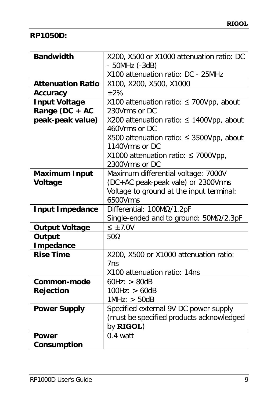#### **RP1050D:**

| Bandwidth                | X200, X500 or X1000 attenuation ratio: DC<br>- 50MHz (-3dB) |
|--------------------------|-------------------------------------------------------------|
|                          | X100 attenuation ratio: DC - 25MHz                          |
| <b>Attenuation Ratio</b> | X100, X200, X500, X1000                                     |
| Accuracy                 | ±2%                                                         |
| Input Voltage            | X100 attenuation ratio: ≤ 700Vpp, about                     |
| Range (DC + AC           | 230Vrms or DC                                               |
| peak-peak value)         | X200 attenuation ratio: ≤ 1400Vpp, about                    |
|                          | 460Vrms or DC                                               |
|                          | X500 attenuation ratio: ≤ 3500Vpp, about<br>1140Vrms or DC  |
|                          | X1000 attenuation ratio: $\leq$ 7000Vpp,                    |
|                          | 2300Vrms or DC                                              |
| Maximum Input            | Maximum differential voltage: 7000V                         |
| Voltage                  | (DC+AC peak-peak vale) or 2300Vrms                          |
|                          | Voltage to ground at the input terminal:                    |
|                          | 6500Vrms                                                    |
| Input Impedance          | Differential: 100ΜΩ/1.2pF                                   |
|                          | Single-ended and to ground: 50MΩ/2.3pF                      |
| Output Voltage           | $\leq \pm 7.0V$                                             |
| Output                   | 50Ω                                                         |
| Impedance                |                                                             |
| <b>Rise Time</b>         | X200, X500 or X1000 attenuation ratio:                      |
|                          | 7 <sub>ns</sub>                                             |
|                          | X100 attenuation ratio: 14ns                                |
| Common-mode              | 60Hz: > 80dB                                                |
| Rejection                | 100Hz: > 60dB                                               |
|                          | 1MHz: > 50dB                                                |
| Power Supply             | Specified external 9V DC power supply                       |
|                          | (must be specified products acknowledged<br>by RIGOL)       |
| Power                    | $0.4$ watt                                                  |
| Consumption              |                                                             |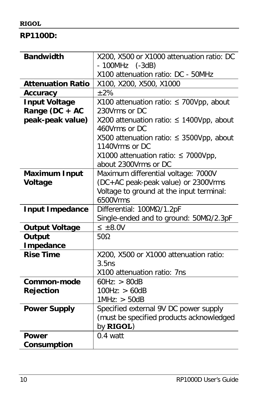#### **RIGOL**

**RP1100D:**

| Bandwidth                | X200, X500 or X1000 attenuation ratio: DC                       |
|--------------------------|-----------------------------------------------------------------|
|                          | $-100MHz$ $(-3dB)$                                              |
|                          | X100 attenuation ratio: DC - 50MHz                              |
| <b>Attenuation Ratio</b> | X100, X200, X500, X1000                                         |
| Accuracy                 | ±2%                                                             |
| Input Voltage            | X100 attenuation ratio: ≤ 700Vpp, about                         |
| Range (DC + AC           | 230Vrms or DC                                                   |
| peak-peak value)         | X200 attenuation ratio: $\leq$ 1400Vpp, about                   |
|                          | 460Vrms or DC                                                   |
|                          | X500 attenuation ratio: $\leq$ 3500Vpp, about<br>1140Vrms or DC |
|                          | X1000 attenuation ratio: $\leq$ 7000Vpp,                        |
|                          | about 2300Vrms or DC                                            |
| Maximum Input            | Maximum differential voltage: 7000V                             |
| Voltage                  | (DC+AC peak-peak value) or 2300Vrms                             |
|                          | Voltage to ground at the input terminal:                        |
|                          | 6500Vrms                                                        |
| Input Impedance          | Differential: 100ΜΩ/1.2pF                                       |
|                          | Single-ended and to ground: 50MΩ/2.3pF                          |
| Output Voltage           | $\leq \pm 8.0V$                                                 |
| Output                   | $50\Omega$                                                      |
| I mpedance               |                                                                 |
| <b>Rise Time</b>         | X200, X500 or X1000 attenuation ratio:                          |
|                          | 3.5ns                                                           |
|                          | X100 attenuation ratio: 7ns                                     |
| Common-mode              | 60Hz: > 80dB                                                    |
| Rejection                | 100Hz: > 60dB                                                   |
|                          | 1MHz: > 50dB                                                    |
| Power Supply             | Specified external 9V DC power supply                           |
|                          | (must be specified products acknowledged                        |
|                          | by RIGOL)                                                       |
| Power                    | $0.4$ watt                                                      |
| Consumption              |                                                                 |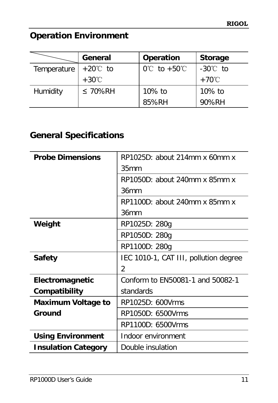### <span id="page-18-0"></span>**Operation Environment**

|                              | General         | Operation                         | Storage         |
|------------------------------|-----------------|-----------------------------------|-----------------|
| Temperature $+20^{\circ}$ to |                 | $0^{\circ}$ C to +50 $^{\circ}$ C | -30℃ to         |
|                              | $+30^{\circ}$ C |                                   | $+70^{\circ}$ C |
| Humidity                     | $\leq 70\%$ RH  | 10% to                            | 10% to          |
|                              |                 | 85%RH                             | 90%RH           |

### <span id="page-18-1"></span>**General Specifications**

| Probe Dimensions           | $RP1025D$ : about 214mm x 60mm x      |
|----------------------------|---------------------------------------|
|                            | 35mm                                  |
|                            | $RP1050D$ : about 240mm x 85mm x      |
|                            | 36mm                                  |
|                            | $RP1100D$ : about 240mm x 85mm x      |
|                            | 36mm                                  |
| Weight                     | RP1025D: 280g                         |
|                            | RP1050D: 280g                         |
|                            | RP1100D: 280g                         |
| Safety                     | IEC 1010-1, CAT III, pollution degree |
|                            | 2                                     |
| Electromagnetic            | Conform to EN50081-1 and 50082-1      |
| Compatibility              | standards                             |
| Maximum Voltage to         | RP1025D: 600Vrms                      |
| Ground                     | RP1050D: 6500Vrms                     |
|                            | RP1100D: 6500Vrms                     |
| Using Environment          | Indoor environment                    |
| <b>Insulation Category</b> | Double insulation                     |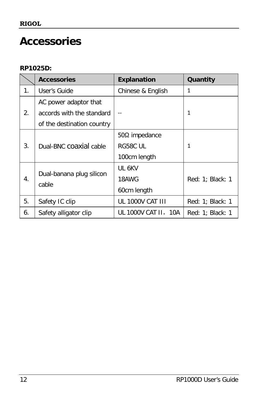### <span id="page-19-0"></span>**Accessories**

#### **RP1025D:**

|    | <b>Accessories</b>                                                               | Explanation                               | Quantity         |
|----|----------------------------------------------------------------------------------|-------------------------------------------|------------------|
| 1. | User's Guide                                                                     | Chinese & English                         | 1                |
| 2. | AC power adaptor that<br>accords with the standard<br>of the destination country |                                           | 1                |
| 3. | Dual-BNC coaxial cable                                                           | 50Ω impedance<br>RG58C UL<br>100cm length | 1                |
| 4. | Dual-banana plug silicon<br>cable                                                | UL 6KV<br>18AWG<br>60cm length            | Red: 1; Black: 1 |
| 5. | Safety IC clip                                                                   | UL 1000V CAT III                          | Red: 1; Black: 1 |
| 6. | Safety alligator clip                                                            | UL 1000V CAT II, 10A                      | Red: 1; Black: 1 |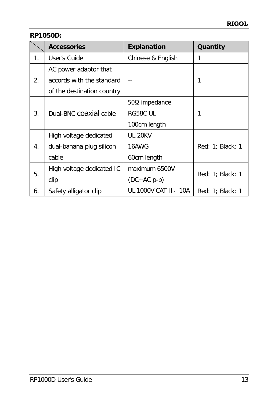**RP1050D:**

|    | Accessories                | Explanation             | Quantity         |
|----|----------------------------|-------------------------|------------------|
| 1. | User's Guide               | Chinese & English       | 1                |
|    | AC power adaptor that      |                         |                  |
| 2. | accords with the standard  |                         | 1                |
|    | of the destination country |                         |                  |
| 3. |                            | $50Ω$ impedance         |                  |
|    | Dual-BNC COAXIAI cable     | RG58C UL                | 1                |
|    |                            | 100cm length            |                  |
| 4. | High voltage dedicated     | <b>UL 20KV</b>          |                  |
|    | dual-banana plug silicon   | 16AWG                   | Red: 1; Black: 1 |
|    | cable                      | 60cm length             |                  |
| 5. | High voltage dedicated IC  | maximum 6500V           |                  |
|    | clip                       | $(DC+AC p-p)$           | Red: 1; Black: 1 |
| 6. | Safety alligator clip      | UL 1000V CAT II,<br>10A | Red: 1; Black: 1 |